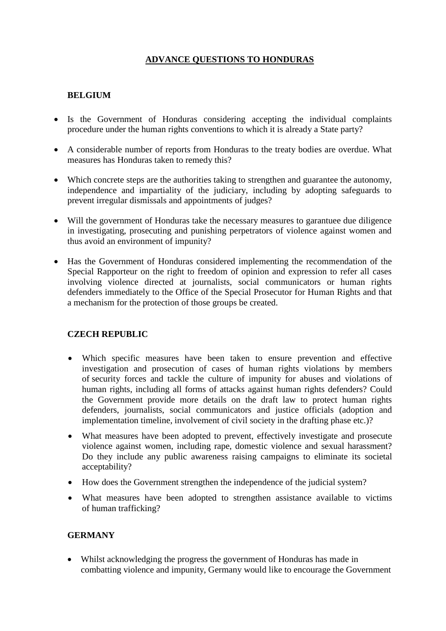# **ADVANCE QUESTIONS TO HONDURAS**

# **BELGIUM**

- Is the Government of Honduras considering accepting the individual complaints procedure under the human rights conventions to which it is already a State party?
- A considerable number of reports from Honduras to the treaty bodies are overdue. What measures has Honduras taken to remedy this?
- Which concrete steps are the authorities taking to strengthen and guarantee the autonomy, independence and impartiality of the judiciary, including by adopting safeguards to prevent irregular dismissals and appointments of judges?
- Will the government of Honduras take the necessary measures to garantuee due diligence in investigating, prosecuting and punishing perpetrators of violence against women and thus avoid an environment of impunity?
- Has the Government of Honduras considered implementing the recommendation of the Special Rapporteur on the right to freedom of opinion and expression to refer all cases involving violence directed at journalists, social communicators or human rights defenders immediately to the Office of the Special Prosecutor for Human Rights and that a mechanism for the protection of those groups be created.

# **CZECH REPUBLIC**

- Which specific measures have been taken to ensure prevention and effective investigation and prosecution of cases of human rights violations by members of security forces and tackle the culture of impunity for abuses and violations of human rights, including all forms of attacks against human rights defenders? Could the Government provide more details on the draft law to protect human rights defenders, journalists, social communicators and justice officials (adoption and implementation timeline, involvement of civil society in the drafting phase etc.)?
- What measures have been adopted to prevent, effectively investigate and prosecute violence against women, including rape, domestic violence and sexual harassment? Do they include any public awareness raising campaigns to eliminate its societal acceptability?
- How does the Government strengthen the independence of the judicial system?
- What measures have been adopted to strengthen assistance available to victims of human trafficking?

# **GERMANY**

 Whilst acknowledging the progress the government of Honduras has made in combatting violence and impunity, Germany would like to encourage the Government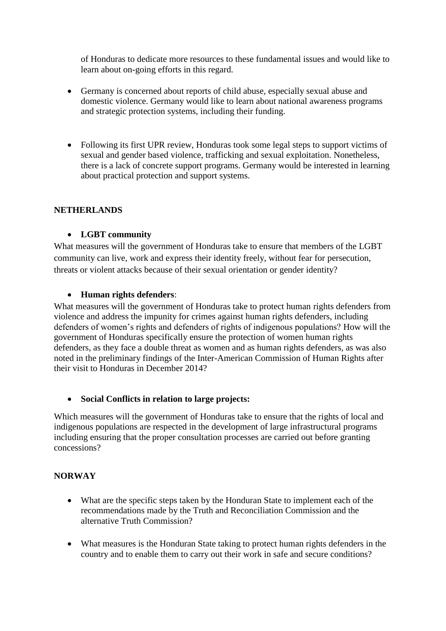of Honduras to dedicate more resources to these fundamental issues and would like to learn about on-going efforts in this regard.

- Germany is concerned about reports of child abuse, especially sexual abuse and domestic violence. Germany would like to learn about national awareness programs and strategic protection systems, including their funding.
- Following its first UPR review, Honduras took some legal steps to support victims of sexual and gender based violence, trafficking and sexual exploitation. Nonetheless, there is a lack of concrete support programs. Germany would be interested in learning about practical protection and support systems.

### **NETHERLANDS**

### **LGBT community**

What measures will the government of Honduras take to ensure that members of the LGBT community can live, work and express their identity freely, without fear for persecution, threats or violent attacks because of their sexual orientation or gender identity?

### **Human rights defenders**:

What measures will the government of Honduras take to protect human rights defenders from violence and address the impunity for crimes against human rights defenders, including defenders of women's rights and defenders of rights of indigenous populations? How will the government of Honduras specifically ensure the protection of women human rights defenders, as they face a double threat as women and as human rights defenders, as was also noted in the preliminary findings of the Inter-American Commission of Human Rights after their visit to Honduras in December 2014?

#### **Social Conflicts in relation to large projects:**

Which measures will the government of Honduras take to ensure that the rights of local and indigenous populations are respected in the development of large infrastructural programs including ensuring that the proper consultation processes are carried out before granting concessions?

#### **NORWAY**

- What are the specific steps taken by the Honduran State to implement each of the recommendations made by the Truth and Reconciliation Commission and the alternative Truth Commission?
- What measures is the Honduran State taking to protect human rights defenders in the country and to enable them to carry out their work in safe and secure conditions?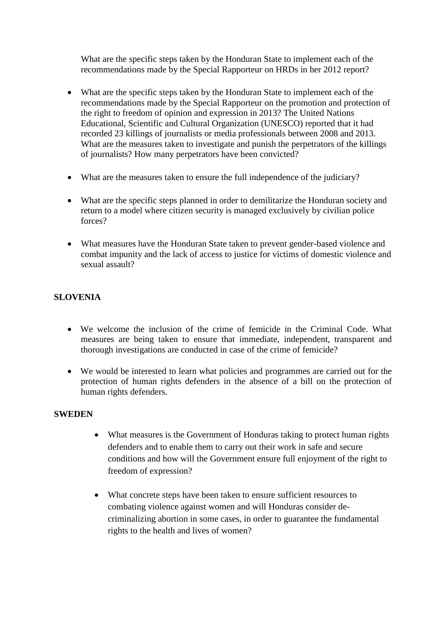What are the specific steps taken by the Honduran State to implement each of the recommendations made by the Special Rapporteur on HRDs in her 2012 report?

- What are the specific steps taken by the Honduran State to implement each of the recommendations made by the Special Rapporteur on the promotion and protection of the right to freedom of opinion and expression in 2013? The United Nations Educational, Scientific and Cultural Organization (UNESCO) reported that it had recorded 23 killings of journalists or media professionals between 2008 and 2013. What are the measures taken to investigate and punish the perpetrators of the killings of journalists? How many perpetrators have been convicted?
- What are the measures taken to ensure the full independence of the judiciary?
- What are the specific steps planned in order to demilitarize the Honduran society and return to a model where citizen security is managed exclusively by civilian police forces?
- What measures have the Honduran State taken to prevent gender-based violence and combat impunity and the lack of access to justice for victims of domestic violence and sexual assault?

# **SLOVENIA**

- We welcome the inclusion of the crime of femicide in the Criminal Code. What measures are being taken to ensure that immediate, independent, transparent and thorough investigations are conducted in case of the crime of femicide?
- We would be interested to learn what policies and programmes are carried out for the protection of human rights defenders in the absence of a bill on the protection of human rights defenders.

### **SWEDEN**

- What measures is the Government of Honduras taking to protect human rights defenders and to enable them to carry out their work in safe and secure conditions and how will the Government ensure full enjoyment of the right to freedom of expression?
- What concrete steps have been taken to ensure sufficient resources to combating violence against women and will Honduras consider decriminalizing abortion in some cases, in order to guarantee the fundamental rights to the health and lives of women?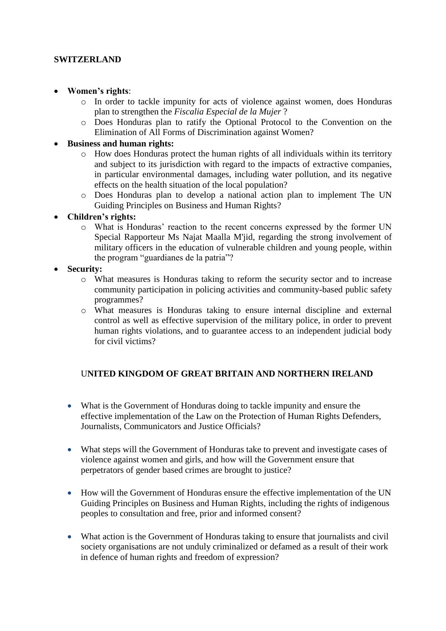### **SWITZERLAND**

- **Women's rights**:
	- o In order to tackle impunity for acts of violence against women, does Honduras plan to strengthen the *Fiscalia Especial de la Mujer* ?
	- o Does Honduras plan to ratify the Optional Protocol to the Convention on the Elimination of All Forms of Discrimination against Women?

#### **Business and human rights:**

- o How does Honduras protect the human rights of all individuals within its territory and subject to its jurisdiction with regard to the impacts of extractive companies, in particular environmental damages, including water pollution, and its negative effects on the health situation of the local population?
- o Does Honduras plan to develop a national action plan to implement The UN Guiding Principles on Business and Human Rights?

#### **Children's rights:**

- o What is Honduras' reaction to the recent concerns expressed by the former UN Special Rapporteur Ms Najat Maalla M'jid, regarding the strong involvement of military officers in the education of vulnerable children and young people, within the program "guardianes de la patria"?
- **Security:**
	- o What measures is Honduras taking to reform the security sector and to increase community participation in policing activities and community-based public safety programmes?
	- o What measures is Honduras taking to ensure internal discipline and external control as well as effective supervision of the military police, in order to prevent human rights violations, and to guarantee access to an independent judicial body for civil victims?

## U**NITED KINGDOM OF GREAT BRITAIN AND NORTHERN IRELAND**

- What is the Government of Honduras doing to tackle impunity and ensure the effective implementation of the Law on the Protection of Human Rights Defenders, Journalists, Communicators and Justice Officials?
- What steps will the Government of Honduras take to prevent and investigate cases of violence against women and girls, and how will the Government ensure that perpetrators of gender based crimes are brought to justice?
- How will the Government of Honduras ensure the effective implementation of the UN Guiding Principles on Business and Human Rights, including the rights of indigenous peoples to consultation and free, prior and informed consent?
- What action is the Government of Honduras taking to ensure that journalists and civil society organisations are not unduly criminalized or defamed as a result of their work in defence of human rights and freedom of expression?